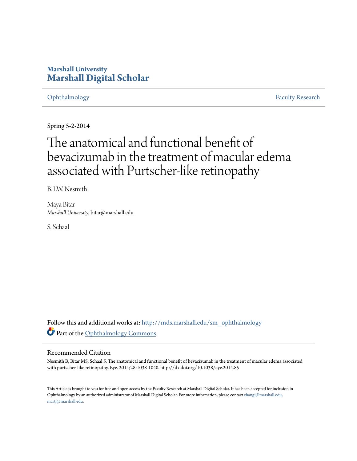## **Marshall University [Marshall Digital Scholar](http://mds.marshall.edu?utm_source=mds.marshall.edu%2Fsm_ophthalmology%2F4&utm_medium=PDF&utm_campaign=PDFCoverPages)**

[Ophthalmology](http://mds.marshall.edu/sm_ophthalmology?utm_source=mds.marshall.edu%2Fsm_ophthalmology%2F4&utm_medium=PDF&utm_campaign=PDFCoverPages) [Faculty Research](http://mds.marshall.edu/sm_faculty?utm_source=mds.marshall.edu%2Fsm_ophthalmology%2F4&utm_medium=PDF&utm_campaign=PDFCoverPages)

Spring 5-2-2014

# The anatomical and functional benefit of bevacizumab in the treatment of macular edema associated with Purtscher-like retinopathy

B. LW. Nesmith

Maya Bitar *Marshall University*, bitar@marshall.edu

S. Schaal

Follow this and additional works at: [http://mds.marshall.edu/sm\\_ophthalmology](http://mds.marshall.edu/sm_ophthalmology?utm_source=mds.marshall.edu%2Fsm_ophthalmology%2F4&utm_medium=PDF&utm_campaign=PDFCoverPages) Part of the [Ophthalmology Commons](http://network.bepress.com/hgg/discipline/695?utm_source=mds.marshall.edu%2Fsm_ophthalmology%2F4&utm_medium=PDF&utm_campaign=PDFCoverPages)

### Recommended Citation

Nesmith B, Bitar MS, Schaal S. The anatomical and functional benefit of bevacizumab in the treatment of macular edema associated with purtscher-like retinopathy. Eye. 2014;28:1038-1040. http://dx.doi.org/10.1038/eye.2014.85

This Article is brought to you for free and open access by the Faculty Research at Marshall Digital Scholar. It has been accepted for inclusion in Ophthalmology by an authorized administrator of Marshall Digital Scholar. For more information, please contact [zhangj@marshall.edu,](mailto:zhangj@marshall.edu,%20martj@marshall.edu) [martj@marshall.edu](mailto:zhangj@marshall.edu,%20martj@marshall.edu).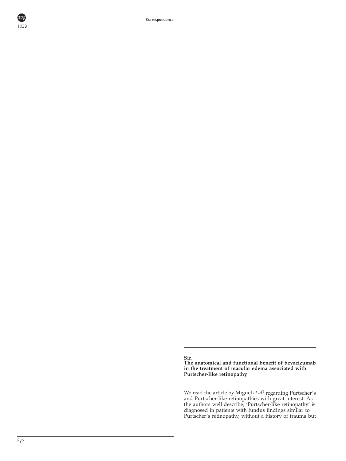Correspondence

1038

npş

Sir, The anatomical and functional benefit of bevacizumab in the treatment of macular edema associated with Purtscher-like retinopathy

We read the article by Miguel  $et$   $al<sup>1</sup>$  regarding Purtscher's and Purtscher-like retinopathies with great interest. As the authors well describe, 'Purtscher-like retinopathy' is diagnosed in patients with fundus findings similar to Purtscher's retinopathy, without a history of trauma but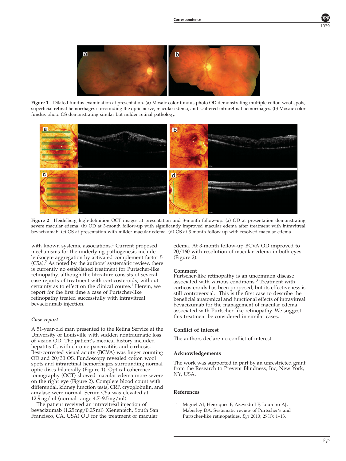

Figure 1 Dilated fundus examination at presentation. (a) Mosaic color fundus photo OD demonstrating multiple cotton wool spots, superficial retinal hemorrhages surrounding the optic nerve, macular edema, and scattered intraretinal hemorrhages. (b) Mosaic color fundus photo OS demonstrating similar but milder retinal pathology.



Figure 2 Heidelberg high-definition OCT images at presentation and 3-month follow-up. (a) OD at presentation demonstrating severe macular edema. (b) OD at 3-month follow-up with significantly improved macular edema after treatment with intravitreal bevacizumab. (c) OS at presentation with milder macular edema. (d) OS at 3-month follow-up with resolved macular edema.

with known systemic associations.<sup>1</sup> Current proposed mechanisms for the underlying pathogenesis include leukocyte aggregation by activated complement factor 5  $(C5a)^2$ . As noted by the authors' systematic review, there is currently no established treatment for Purtscher-like retinopathy, although the literature consists of several case reports of treatment with corticosteroids, without certainty as to effect on the clinical course.<sup>1</sup> Herein, we report for the first time a case of Purtscher-like retinopathy treated successfully with intravitreal bevacizumab injection.

#### Case report

A 51-year-old man presented to the Retina Service at the University of Louisville with sudden nontraumatic loss of vision OD. The patient's medical history included hepatitis C, with chronic pancreatitis and cirrhosis. Best-corrected visual acuity (BCVA) was finger counting OD and 20/30 OS. Fundoscopy revealed cotton wool spots and intraretinal hemorrhages surrounding normal optic discs bilaterally (Figure 1). Optical coherence tomography (OCT) showed macular edema more severe on the right eye (Figure 2). Complete blood count with differential, kidney function tests, CRP, cryoglobulin, and amylase were normal. Serum C5a was elevated at 12.9 ng/ml (normal range 4.7–9.5 ng/ml).

The patient received an intravitreal injection of bevacizumab (1.25 mg/0.05 ml) (Genentech, South San Francisco, CA, USA) OU for the treatment of macular

edema. At 3-month follow-up BCVA OD improved to 20/160 with resolution of macular edema in both eyes (Figure 2).

#### Comment

Purtscher-like retinopathy is an uncommon disease associated with various conditions.<sup>3</sup> Treatment with corticosteroids has been proposed, but its effectiveness is still controversial.<sup>1</sup> This is the first case to describe the beneficial anatomical and functional effects of intravitreal bevacizumab for the management of macular edema associated with Purtscher-like retinopathy. We suggest this treatment be considered in similar cases.

#### Conflict of interest

The authors declare no conflict of interest.

#### Acknowledgements

The work was supported in part by an unrestricted grant from the Research to Prevent Blindness, Inc, New York, NY, USA.

#### References

1 Miguel AI, Henriques F, Azevedo LF, Loureiro AJ, Maberley DA. Systematic review of Purtscher's and Purtscher-like retinopathies. Eye 2013; 27(1): 1–13.